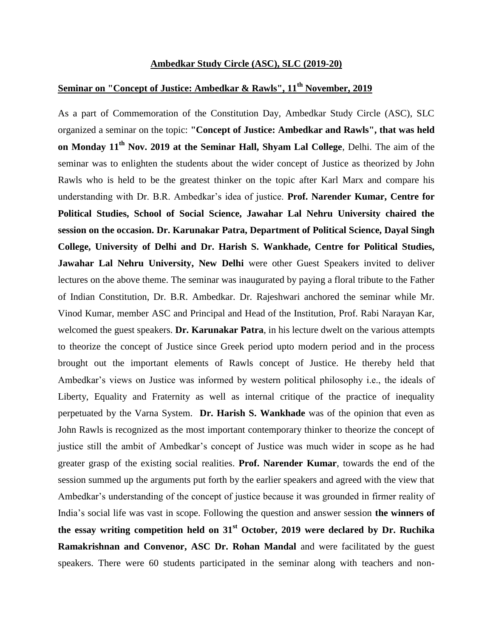## **Ambedkar Study Circle (ASC), SLC (2019-20)**

## **Seminar on "Concept of Justice: Ambedkar & Rawls", 11th November, 2019**

As a part of Commemoration of the Constitution Day, Ambedkar Study Circle (ASC), SLC organized a seminar on the topic: **"Concept of Justice: Ambedkar and Rawls", that was held on Monday 11th Nov. 2019 at the Seminar Hall, Shyam Lal College**, Delhi. The aim of the seminar was to enlighten the students about the wider concept of Justice as theorized by John Rawls who is held to be the greatest thinker on the topic after Karl Marx and compare his understanding with Dr. B.R. Ambedkar's idea of justice. **Prof. Narender Kumar, Centre for Political Studies, School of Social Science, Jawahar Lal Nehru University chaired the session on the occasion. Dr. Karunakar Patra, Department of Political Science, Dayal Singh College, University of Delhi and Dr. Harish S. Wankhade, Centre for Political Studies, Jawahar Lal Nehru University, New Delhi** were other Guest Speakers invited to deliver lectures on the above theme. The seminar was inaugurated by paying a floral tribute to the Father of Indian Constitution, Dr. B.R. Ambedkar. Dr. Rajeshwari anchored the seminar while Mr. Vinod Kumar, member ASC and Principal and Head of the Institution, Prof. Rabi Narayan Kar, welcomed the guest speakers. **Dr. Karunakar Patra**, in his lecture dwelt on the various attempts to theorize the concept of Justice since Greek period upto modern period and in the process brought out the important elements of Rawls concept of Justice. He thereby held that Ambedkar's views on Justice was informed by western political philosophy i.e., the ideals of Liberty, Equality and Fraternity as well as internal critique of the practice of inequality perpetuated by the Varna System. **Dr. Harish S. Wankhade** was of the opinion that even as John Rawls is recognized as the most important contemporary thinker to theorize the concept of justice still the ambit of Ambedkar's concept of Justice was much wider in scope as he had greater grasp of the existing social realities. **Prof. Narender Kumar**, towards the end of the session summed up the arguments put forth by the earlier speakers and agreed with the view that Ambedkar's understanding of the concept of justice because it was grounded in firmer reality of India's social life was vast in scope. Following the question and answer session **the winners of the essay writing competition held on 31st October, 2019 were declared by Dr. Ruchika Ramakrishnan and Convenor, ASC Dr. Rohan Mandal** and were facilitated by the guest speakers. There were 60 students participated in the seminar along with teachers and non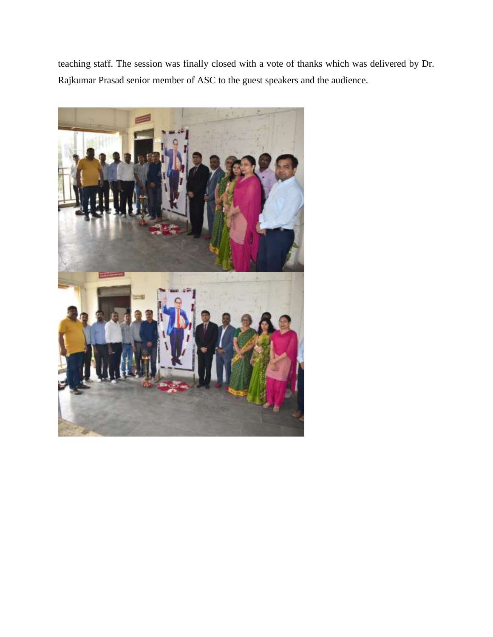teaching staff. The session was finally closed with a vote of thanks which was delivered by Dr. Rajkumar Prasad senior member of ASC to the guest speakers and the audience.

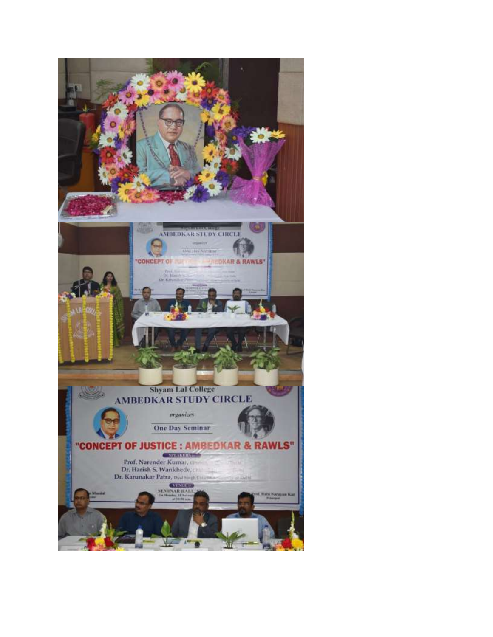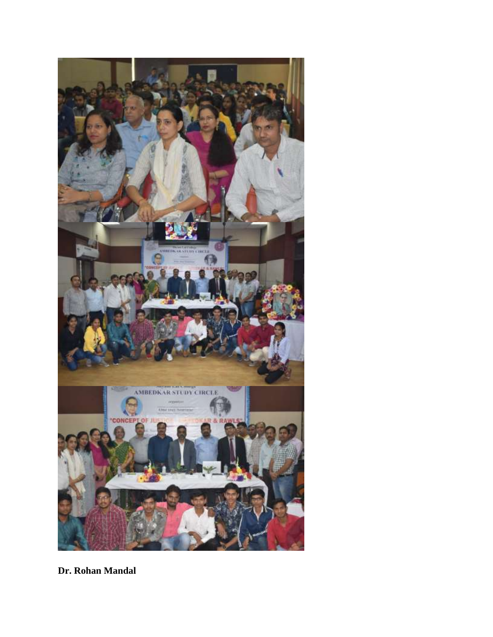

**Dr. Rohan Mandal**